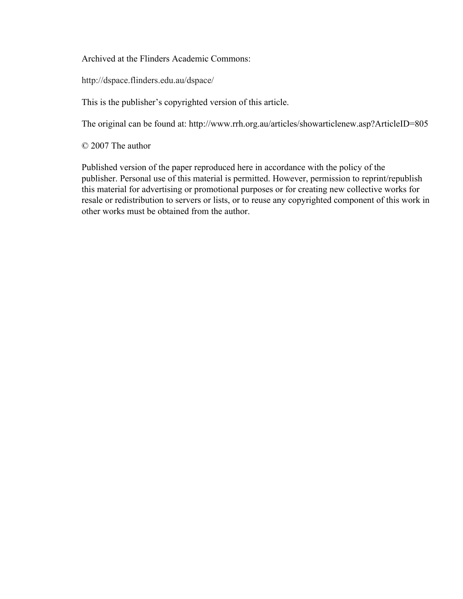Archived at the Flinders Academic Commons:

http://dspace.flinders.edu.au/dspace/

This is the publisher's copyrighted version of this article.

The original can be found at: http://www.rrh.org.au/articles/showarticlenew.asp?ArticleID=805

© 2007 The author

Published version of the paper reproduced here in accordance with the policy of the publisher. Personal use of this material is permitted. However, permission to reprint/republish this material for advertising or promotional purposes or for creating new collective works for resale or redistribution to servers or lists, or to reuse any copyrighted component of this work in other works must be obtained from the author.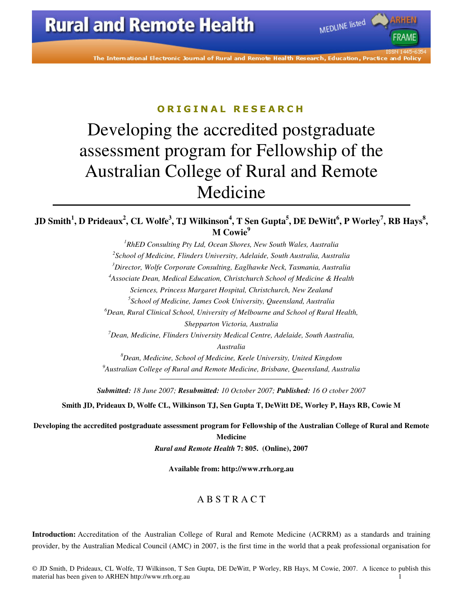The International Electronic Journal of Rural and Remote Health Research, Education, Practice

MEDLINE listed

#### ORIGINAL RESEARCH

# Developing the accredited postgraduate assessment program for Fellowship of the Australian College of Rural and Remote Medicine

#### **JD Smith<sup>1</sup> , D Prideaux<sup>2</sup> , CL Wolfe<sup>3</sup> , TJ Wilkinson<sup>4</sup> , T Sen Gupta<sup>5</sup> , DE DeWitt<sup>6</sup> , P Worley<sup>7</sup> , RB Hays<sup>8</sup> , M** Cowie<sup>9</sup>

*RhED Consulting Pty Ltd, Ocean Shores, New South Wales, Australia School of Medicine, Flinders University, Adelaide, South Australia, Australia Director, Wolfe Corporate Consulting, Eaglhawke Neck, Tasmania, Australia Associate Dean, Medical Education, Christchurch School of Medicine & Health Sciences, Princess Margaret Hospital, Christchurch, New Zealand School of Medicine, James Cook University, Queensland, Australia Dean, Rural Clinical School, University of Melbourne and School of Rural Health, Shepparton Victoria, Australia Dean, Medicine, Flinders University Medical Centre, Adelaide, South Australia, Australia* 

*<sup>8</sup>Dean, Medicine, School of Medicine, Keele University, United Kingdom <sup>9</sup>Australian College of Rural and Remote Medicine, Brisbane, Queensland, Australia* 

*Submitted: 18 June 2007; Resubmitted: 10 October 2007; Published: 16 O ctober 2007* 

**Smith JD, Prideaux D, Wolfe CL, Wilkinson TJ, Sen Gupta T, DeWitt DE, Worley P, Hays RB, Cowie M** 

**Developing the accredited postgraduate assessment program for Fellowship of the Australian College of Rural and Remote Medicine** 

*Rural and Remote Health* **7: 805. (Online), 2007** 

**Available from: http://www.rrh.org.au** 

#### A B S T R A C T

**Introduction:** Accreditation of the Australian College of Rural and Remote Medicine (ACRRM) as a standards and training provider, by the Australian Medical Council (AMC) in 2007, is the first time in the world that a peak professional organisation for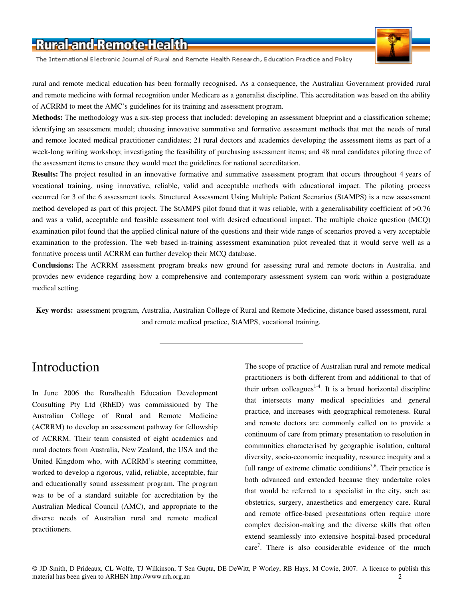The International Electronic Journal of Rural and Remote Health Research, Education Practice and Policy

rural and remote medical education has been formally recognised. As a consequence, the Australian Government provided rural and remote medicine with formal recognition under Medicare as a generalist discipline. This accreditation was based on the ability of ACRRM to meet the AMC's guidelines for its training and assessment program.

**Methods:** The methodology was a six-step process that included: developing an assessment blueprint and a classification scheme; identifying an assessment model; choosing innovative summative and formative assessment methods that met the needs of rural and remote located medical practitioner candidates; 21 rural doctors and academics developing the assessment items as part of a week-long writing workshop; investigating the feasibility of purchasing assessment items; and 48 rural candidates piloting three of the assessment items to ensure they would meet the guidelines for national accreditation.

**Results:** The project resulted in an innovative formative and summative assessment program that occurs throughout 4 years of vocational training, using innovative, reliable, valid and acceptable methods with educational impact. The piloting process occurred for 3 of the 6 assessment tools. Structured Assessment Using Multiple Patient Scenarios (StAMPS) is a new assessment method developed as part of this project. The StAMPS pilot found that it was reliable, with a generalisability coefficient of >0.76 and was a valid, acceptable and feasible assessment tool with desired educational impact. The multiple choice question (MCQ) examination pilot found that the applied clinical nature of the questions and their wide range of scenarios proved a very acceptable examination to the profession. The web based in-training assessment examination pilot revealed that it would serve well as a formative process until ACRRM can further develop their MCQ database.

**Conclusions:** The ACRRM assessment program breaks new ground for assessing rural and remote doctors in Australia, and provides new evidence regarding how a comprehensive and contemporary assessment system can work within a postgraduate medical setting.

**Key words:** assessment program, Australia, Australian College of Rural and Remote Medicine, distance based assessment, rural and remote medical practice, StAMPS, vocational training.

### Introduction

In June 2006 the Ruralhealth Education Development Consulting Pty Ltd (RhED) was commissioned by The Australian College of Rural and Remote Medicine (ACRRM) to develop an assessment pathway for fellowship of ACRRM. Their team consisted of eight academics and rural doctors from Australia, New Zealand, the USA and the United Kingdom who, with ACRRM's steering committee, worked to develop a rigorous, valid, reliable, acceptable, fair and educationally sound assessment program. The program was to be of a standard suitable for accreditation by the Australian Medical Council (AMC), and appropriate to the diverse needs of Australian rural and remote medical practitioners.

The scope of practice of Australian rural and remote medical practitioners is both different from and additional to that of their urban colleagues<sup>1-4</sup>. It is a broad horizontal discipline that intersects many medical specialities and general practice, and increases with geographical remoteness. Rural and remote doctors are commonly called on to provide a continuum of care from primary presentation to resolution in communities characterised by geographic isolation, cultural diversity, socio-economic inequality, resource inequity and a full range of extreme climatic conditions<sup>5,6</sup>. Their practice is both advanced and extended because they undertake roles that would be referred to a specialist in the city, such as: obstetrics, surgery, anaesthetics and emergency care. Rural and remote office-based presentations often require more complex decision-making and the diverse skills that often extend seamlessly into extensive hospital-based procedural care<sup>7</sup>. There is also considerable evidence of the much

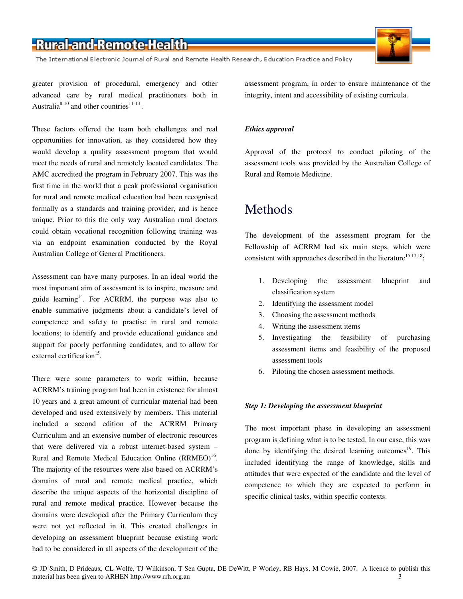The International Electronic Journal of Rural and Remote Health Research, Education Practice and Policy

greater provision of procedural, emergency and other advanced care by rural medical practitioners both in Australia<sup>8-10</sup> and other countries<sup>11-13</sup>.

These factors offered the team both challenges and real opportunities for innovation, as they considered how they would develop a quality assessment program that would meet the needs of rural and remotely located candidates. The AMC accredited the program in February 2007. This was the first time in the world that a peak professional organisation for rural and remote medical education had been recognised formally as a standards and training provider, and is hence unique. Prior to this the only way Australian rural doctors could obtain vocational recognition following training was via an endpoint examination conducted by the Royal Australian College of General Practitioners.

Assessment can have many purposes. In an ideal world the most important aim of assessment is to inspire, measure and guide learning<sup>14</sup>. For ACRRM, the purpose was also to enable summative judgments about a candidate's level of competence and safety to practise in rural and remote locations; to identify and provide educational guidance and support for poorly performing candidates, and to allow for external certification<sup>15</sup>.

There were some parameters to work within, because ACRRM's training program had been in existence for almost 10 years and a great amount of curricular material had been developed and used extensively by members. This material included a second edition of the ACRRM Primary Curriculum and an extensive number of electronic resources that were delivered via a robust internet-based system – Rural and Remote Medical Education Online (RRMEO)<sup>16</sup>. The majority of the resources were also based on ACRRM's domains of rural and remote medical practice, which describe the unique aspects of the horizontal discipline of rural and remote medical practice. However because the domains were developed after the Primary Curriculum they were not yet reflected in it. This created challenges in developing an assessment blueprint because existing work had to be considered in all aspects of the development of the

assessment program, in order to ensure maintenance of the integrity, intent and accessibility of existing curricula.

#### *Ethics approval*

Approval of the protocol to conduct piloting of the assessment tools was provided by the Australian College of Rural and Remote Medicine.

### Methods

The development of the assessment program for the Fellowship of ACRRM had six main steps, which were consistent with approaches described in the literature<sup>15,17,18</sup>:

- 1. Developing the assessment blueprint and classification system
- 2. Identifying the assessment model
- 3. Choosing the assessment methods
- 4. Writing the assessment items
- 5. Investigating the feasibility of purchasing assessment items and feasibility of the proposed assessment tools
- 6. Piloting the chosen assessment methods.

#### *Step 1: Developing the assessment blueprint*

The most important phase in developing an assessment program is defining what is to be tested. In our case, this was done by identifying the desired learning outcomes<sup>19</sup>. This included identifying the range of knowledge, skills and attitudes that were expected of the candidate and the level of competence to which they are expected to perform in specific clinical tasks, within specific contexts.

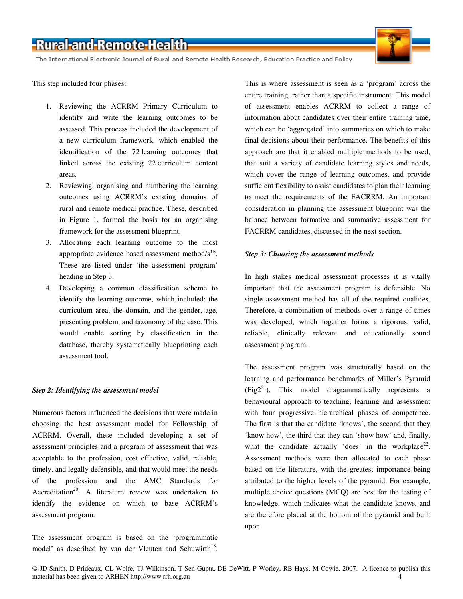The International Electronic Journal of Rural and Remote Health Research, Education Practice and Policy

This step included four phases:

- 1. Reviewing the ACRRM Primary Curriculum to identify and write the learning outcomes to be assessed. This process included the development of a new curriculum framework, which enabled the identification of the 72 learning outcomes that linked across the existing 22 curriculum content areas.
- 2. Reviewing, organising and numbering the learning outcomes using ACRRM's existing domains of rural and remote medical practice. These, described in Figure 1, formed the basis for an organising framework for the assessment blueprint.
- 3. Allocating each learning outcome to the most appropriate evidence based assessment method/ $s^{15}$ . These are listed under 'the assessment program' heading in Step 3.
- 4. Developing a common classification scheme to identify the learning outcome, which included: the curriculum area, the domain, and the gender, age, presenting problem, and taxonomy of the case. This would enable sorting by classification in the database, thereby systematically blueprinting each assessment tool.

#### *Step 2: Identifying the assessment model*

Numerous factors influenced the decisions that were made in choosing the best assessment model for Fellowship of ACRRM. Overall, these included developing a set of assessment principles and a program of assessment that was acceptable to the profession, cost effective, valid, reliable, timely, and legally defensible, and that would meet the needs of the profession and the AMC Standards for Accreditation<sup>20</sup>. A literature review was undertaken to identify the evidence on which to base ACRRM's assessment program.

The assessment program is based on the 'programmatic model' as described by van der Vleuten and Schuwirth<sup>18</sup>. This is where assessment is seen as a 'program' across the entire training, rather than a specific instrument. This model of assessment enables ACRRM to collect a range of information about candidates over their entire training time, which can be 'aggregated' into summaries on which to make final decisions about their performance. The benefits of this approach are that it enabled multiple methods to be used, that suit a variety of candidate learning styles and needs, which cover the range of learning outcomes, and provide sufficient flexibility to assist candidates to plan their learning to meet the requirements of the FACRRM. An important consideration in planning the assessment blueprint was the balance between formative and summative assessment for FACRRM candidates, discussed in the next section.

#### *Step 3: Choosing the assessment methods*

In high stakes medical assessment processes it is vitally important that the assessment program is defensible. No single assessment method has all of the required qualities. Therefore, a combination of methods over a range of times was developed, which together forms a rigorous, valid, reliable, clinically relevant and educationally sound assessment program.

The assessment program was structurally based on the learning and performance benchmarks of Miller's Pyramid  $(Fig2<sup>21</sup>)$ . This model diagrammatically represents a behavioural approach to teaching, learning and assessment with four progressive hierarchical phases of competence. The first is that the candidate 'knows', the second that they 'know how', the third that they can 'show how' and, finally, what the candidate actually 'does' in the workplace<sup>22</sup>. Assessment methods were then allocated to each phase based on the literature, with the greatest importance being attributed to the higher levels of the pyramid. For example, multiple choice questions (MCQ) are best for the testing of knowledge, which indicates what the candidate knows, and are therefore placed at the bottom of the pyramid and built upon.

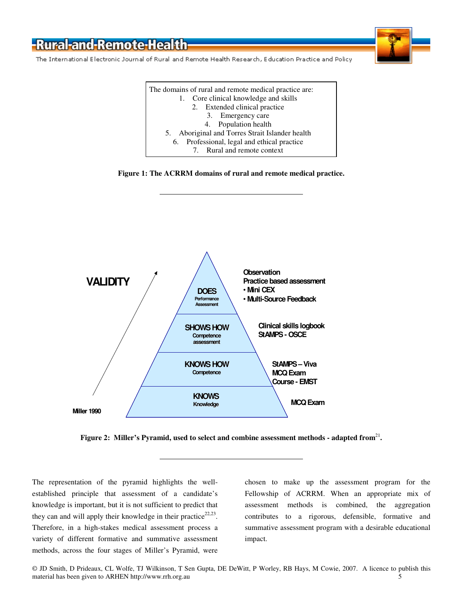The International Electronic Journal of Rural and Remote Health Research, Education Practice and Policy

The domains of rural and remote medical practice are: 1. Core clinical knowledge and skills 2. Extended clinical practice 3. Emergency care 4. Population health 5. Aboriginal and Torres Strait Islander health 6. Professional, legal and ethical practice 7. Rural and remote context





Figure 2: Miller's Pyramid, used to select and combine assessment methods - adapted from<sup>21</sup>.

The representation of the pyramid highlights the wellestablished principle that assessment of a candidate's knowledge is important, but it is not sufficient to predict that they can and will apply their knowledge in their practice $22,23$ . Therefore, in a high-stakes medical assessment process a variety of different formative and summative assessment methods, across the four stages of Miller's Pyramid, were

chosen to make up the assessment program for the Fellowship of ACRRM. When an appropriate mix of assessment methods is combined, the aggregation contributes to a rigorous, defensible, formative and summative assessment program with a desirable educational impact.

© JD Smith, D Prideaux, CL Wolfe, TJ Wilkinson, T Sen Gupta, DE DeWitt, P Worley, RB Hays, M Cowie, 2007. A licence to publish this material has been given to ARHEN http://www.rrh.org.au 5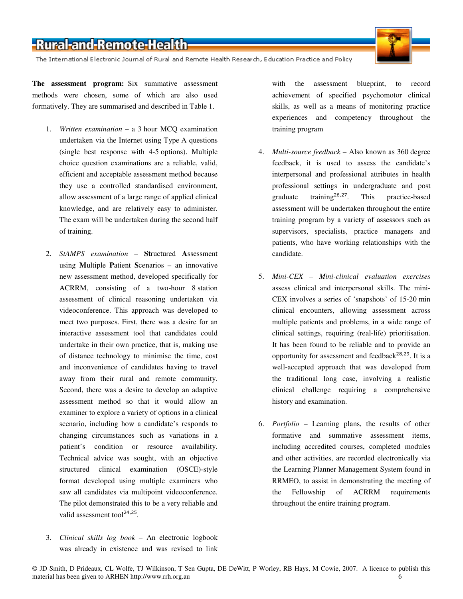The International Electronic Journal of Rural and Remote Health Research, Education Practice and Policy

**The assessment program:** Six summative assessment methods were chosen, some of which are also used formatively. They are summarised and described in Table 1.

- 1. *Written examination* a 3 hour MCQ examination undertaken via the Internet using Type A questions (single best response with 4-5 options). Multiple choice question examinations are a reliable, valid, efficient and acceptable assessment method because they use a controlled standardised environment, allow assessment of a large range of applied clinical knowledge, and are relatively easy to administer. The exam will be undertaken during the second half of training.
- 2. *StAMPS examination* **St**ructured **A**ssessment using **M**ultiple **P**atient **S**cenarios – an innovative new assessment method, developed specifically for ACRRM, consisting of a two-hour 8 station assessment of clinical reasoning undertaken via videoconference. This approach was developed to meet two purposes. First, there was a desire for an interactive assessment tool that candidates could undertake in their own practice, that is, making use of distance technology to minimise the time, cost and inconvenience of candidates having to travel away from their rural and remote community. Second, there was a desire to develop an adaptive assessment method so that it would allow an examiner to explore a variety of options in a clinical scenario, including how a candidate's responds to changing circumstances such as variations in a patient's condition or resource availability. Technical advice was sought, with an objective structured clinical examination (OSCE)-style format developed using multiple examiners who saw all candidates via multipoint videoconference. The pilot demonstrated this to be a very reliable and valid assessment tool $2^{4,25}$ .
- 3. *Clinical skills log book* An electronic logbook was already in existence and was revised to link

with the assessment blueprint, to record achievement of specified psychomotor clinical skills, as well as a means of monitoring practice experiences and competency throughout the training program

- 4. *Multi-source feedback* Also known as 360 degree feedback, it is used to assess the candidate's interpersonal and professional attributes in health professional settings in undergraduate and post graduate training26,27. This practice-based assessment will be undertaken throughout the entire training program by a variety of assessors such as supervisors, specialists, practice managers and patients, who have working relationships with the candidate.
- 5. *Mini-CEX Mini-clinical evaluation exercises* assess clinical and interpersonal skills. The mini-CEX involves a series of 'snapshots' of 15-20 min clinical encounters, allowing assessment across multiple patients and problems, in a wide range of clinical settings, requiring (real-life) prioritisation. It has been found to be reliable and to provide an opportunity for assessment and feedback<sup>28,29</sup>. It is a well-accepted approach that was developed from the traditional long case, involving a realistic clinical challenge requiring a comprehensive history and examination.
- 6. *Portfolio* Learning plans, the results of other formative and summative assessment items, including accredited courses, completed modules and other activities, are recorded electronically via the Learning Planner Management System found in RRMEO, to assist in demonstrating the meeting of the Fellowship of ACRRM requirements throughout the entire training program.

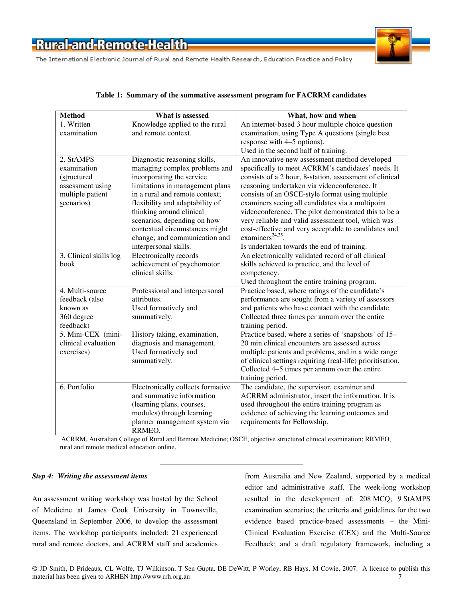The International Electronic Journal of Rural and Remote Health Research, Education Practice and Policy



#### **Method What is assessed What, how and when**  1. Written examination Knowledge applied to the rural and remote context. An internet-based 3 hour multiple choice question examination, using Type A questions (single best response with 4–5 options). Used in the second half of training. 2. StAMPS examination (structured assessment using multiple patient scenarios) Diagnostic reasoning skills, managing complex problems and incorporating the service limitations in management plans in a rural and remote context; flexibility and adaptability of thinking around clinical scenarios, depending on how contextual circumstances might change; and communication and interpersonal skills. An innovative new assessment method developed specifically to meet ACRRM's candidates' needs. It consists of a 2 hour, 8-station, assessment of clinical reasoning undertaken via videoconference. It consists of an OSCE-style format using multiple examiners seeing all candidates via a multipoint videoconference. The pilot demonstrated this to be a very reliable and valid assessment tool, which was cost-effective and very acceptable to candidates and  $examiners<sup>24,25</sup>$ . Is undertaken towards the end of training. 3. Clinical skills log book Electronically records achievement of psychomotor clinical skills. An electronically validated record of all clinical skills achieved to practice, and the level of competency. Used throughout the entire training program. 4. Multi-source feedback (also known as 360 degree feedback) Professional and interpersonal attributes. Used formatively and summatively. Practice based, where ratings of the candidate's performance are sought from a variety of assessors and patients who have contact with the candidate. Collected three times per annum over the entire training period. 5. Mini-CEX (miniclinical evaluation exercises) History taking, examination, diagnosis and management. Used formatively and summatively. Practice based, where a series of 'snapshots' of 15– 20 min clinical encounters are assessed across multiple patients and problems, and in a wide range of clinical settings requiring (real-life) prioritisation. Collected 4–5 times per annum over the entire training period. 6. Portfolio Electronically collects formative and summative information (learning plans, courses, modules) through learning planner management system via RRMEO. The candidate, the supervisor, examiner and ACRRM administrator, insert the information. It is used throughout the entire training program as evidence of achieving the learning outcomes and requirements for Fellowship.

#### **Table 1: Summary of the summative assessment program for FACRRM candidates**

 ACRRM, Australian College of Rural and Remote Medicine; OSCE, objective structured clinical examination; RRMEO, rural and remote medical education online.

#### *Step 4: Writing the assessment items*

An assessment writing workshop was hosted by the School of Medicine at James Cook University in Townsville, Queensland in September 2006, to develop the assessment items. The workshop participants included: 21 experienced rural and remote doctors, and ACRRM staff and academics

from Australia and New Zealand, supported by a medical editor and administrative staff. The week-long workshop resulted in the development of: 208 MCQ; 9 StAMPS examination scenarios; the criteria and guidelines for the two evidence based practice-based assessments – the Mini-Clinical Evaluation Exercise (CEX) and the Multi-Source Feedback; and a draft regulatory framework, including a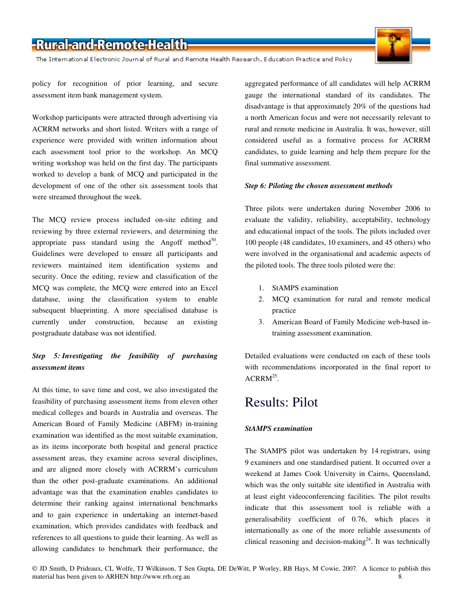The International Electronic Journal of Rural and Remote Health Research, Education Practice and Policy



policy for recognition of prior learning, and secure assessment item bank management system.

Workshop participants were attracted through advertising via ACRRM networks and short listed. Writers with a range of experience were provided with written information about each assessment tool prior to the workshop. An MCQ writing workshop was held on the first day. The participants worked to develop a bank of MCQ and participated in the development of one of the other six assessment tools that were streamed throughout the week.

The MCQ review process included on-site editing and reviewing by three external reviewers, and determining the appropriate pass standard using the Angoff method<sup>30</sup>. Guidelines were developed to ensure all participants and reviewers maintained item identification systems and security. Once the editing, review and classification of the MCQ was complete, the MCQ were entered into an Excel database, using the classification system to enable subsequent blueprinting. A more specialised database is currently under construction, because an existing postgraduate database was not identified.

#### *Step 5: Investigating the feasibility of purchasing assessment items*

At this time, to save time and cost, we also investigated the feasibility of purchasing assessment items from eleven other medical colleges and boards in Australia and overseas. The American Board of Family Medicine (ABFM) in-training examination was identified as the most suitable examination, as its items incorporate both hospital and general practice assessment areas, they examine across several disciplines, and are aligned more closely with ACRRM's curriculum than the other post-graduate examinations. An additional advantage was that the examination enables candidates to determine their ranking against international benchmarks and to gain experience in undertaking an internet-based examination, which provides candidates with feedback and references to all questions to guide their learning. As well as allowing candidates to benchmark their performance, the aggregated performance of all candidates will help ACRRM gauge the international standard of its candidates. The disadvantage is that approximately 20% of the questions had a north American focus and were not necessarily relevant to rural and remote medicine in Australia. It was, however, still considered useful as a formative process for ACRRM candidates, to guide learning and help them prepare for the final summative assessment.

#### *Step 6: Piloting the chosen assessment methods*

Three pilots were undertaken during November 2006 to evaluate the validity, reliability, acceptability, technology and educational impact of the tools. The pilots included over 100 people (48 candidates, 10 examiners, and 45 others) who were involved in the organisational and academic aspects of the piloted tools. The three tools piloted were the:

- 1. StAMPS examination
- 2. MCQ examination for rural and remote medical practice
- 3. American Board of Family Medicine web-based intraining assessment examination.

Detailed evaluations were conducted on each of these tools with recommendations incorporated in the final report to  $\text{ACRRM}^{25}$ .

### Results: Pilot

#### *StAMPS examination*

The StAMPS pilot was undertaken by 14 registrars, using 9 examiners and one standardised patient. It occurred over a weekend at James Cook University in Cairns, Queensland, which was the only suitable site identified in Australia with at least eight videoconferencing facilities. The pilot results indicate that this assessment tool is reliable with a generalisability coefficient of 0.76, which places it internationally as one of the more reliable assessments of clinical reasoning and decision-making<sup>24</sup>. It was technically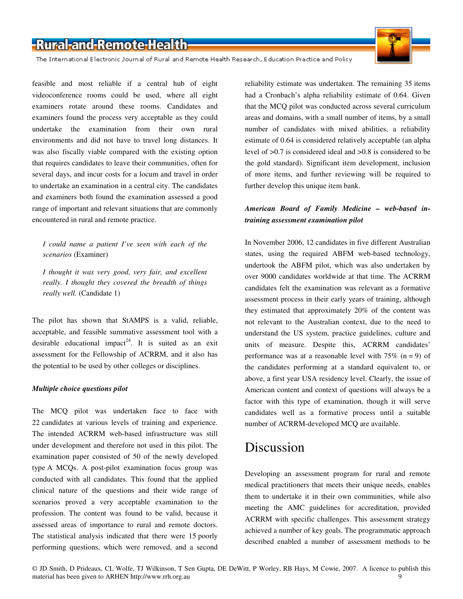The International Electronic Journal of Rural and Remote Health Research, Education Practice and Policy

feasible and most reliable if a central hub of eight videoconference rooms could be used, where all eight examiners rotate around these rooms. Candidates and examiners found the process very acceptable as they could undertake the examination from their own rural environments and did not have to travel long distances. It was also fiscally viable compared with the existing option that requires candidates to leave their communities, often for several days, and incur costs for a locum and travel in order to undertake an examination in a central city. The candidates and examiners both found the examination assessed a good range of important and relevant situations that are commonly encountered in rural and remote practice.

*I could name a patient I've seen with each of the scenarios* (Examiner)

*I thought it was very good, very fair, and excellent really. I thought they covered the breadth of things really well.* (Candidate 1)

The pilot has shown that StAMPS is a valid, reliable, acceptable, and feasible summative assessment tool with a desirable educational impact<sup>24</sup>. It is suited as an exit assessment for the Fellowship of ACRRM, and it also has the potential to be used by other colleges or disciplines.

#### *Multiple choice questions pilot*

The MCQ pilot was undertaken face to face with 22 candidates at various levels of training and experience. The intended ACRRM web-based infrastructure was still under development and therefore not used in this pilot. The examination paper consisted of 50 of the newly developed type A MCQs. A post-pilot examination focus group was conducted with all candidates. This found that the applied clinical nature of the questions and their wide range of scenarios proved a very acceptable examination to the profession. The content was found to be valid, because it assessed areas of importance to rural and remote doctors. The statistical analysis indicated that there were 15 poorly performing questions, which were removed, and a second

reliability estimate was undertaken. The remaining 35 items had a Cronbach's alpha reliability estimate of 0.64. Given that the MCQ pilot was conducted across several curriculum areas and domains, with a small number of items, by a small number of candidates with mixed abilities, a reliability estimate of 0.64 is considered relatively acceptable (an alpha level of >0.7 is considered ideal and >0.8 is considered to be the gold standard). Significant item development, inclusion of more items, and further reviewing will be required to further develop this unique item bank.

#### *American Board of Family Medicine – web-based intraining assessment examination pilot*

In November 2006, 12 candidates in five different Australian states, using the required ABFM web-based technology, undertook the ABFM pilot, which was also undertaken by over 9000 candidates worldwide at that time. The ACRRM candidates felt the examination was relevant as a formative assessment process in their early years of training, although they estimated that approximately 20% of the content was not relevant to the Australian context, due to the need to understand the US system, practice guidelines, culture and units of measure. Despite this, ACRRM candidates' performance was at a reasonable level with  $75\%$  (n = 9) of the candidates performing at a standard equivalent to, or above, a first year USA residency level. Clearly, the issue of American content and context of questions will always be a factor with this type of examination, though it will serve candidates well as a formative process until a suitable number of ACRRM-developed MCQ are available.

#### Discussion

Developing an assessment program for rural and remote medical practitioners that meets their unique needs, enables them to undertake it in their own communities, while also meeting the AMC guidelines for accreditation, provided ACRRM with specific challenges. This assessment strategy achieved a number of key goals. The programmatic approach described enabled a number of assessment methods to be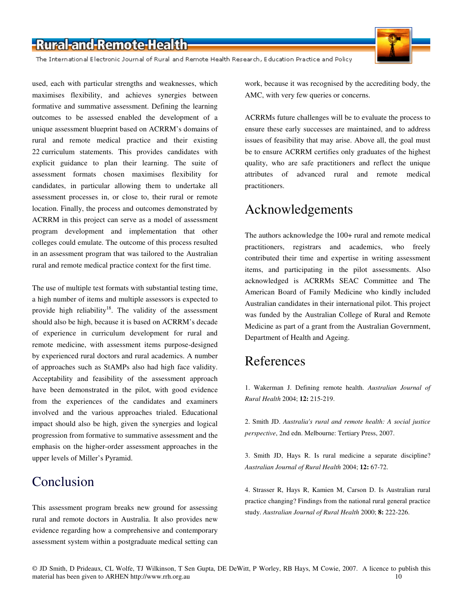The International Electronic Journal of Rural and Remote Health Research, Education Practice and Policy

used, each with particular strengths and weaknesses, which maximises flexibility, and achieves synergies between formative and summative assessment. Defining the learning outcomes to be assessed enabled the development of a unique assessment blueprint based on ACRRM's domains of rural and remote medical practice and their existing 22 curriculum statements. This provides candidates with explicit guidance to plan their learning. The suite of assessment formats chosen maximises flexibility for candidates, in particular allowing them to undertake all assessment processes in, or close to, their rural or remote location. Finally, the process and outcomes demonstrated by ACRRM in this project can serve as a model of assessment program development and implementation that other colleges could emulate. The outcome of this process resulted in an assessment program that was tailored to the Australian rural and remote medical practice context for the first time.

The use of multiple test formats with substantial testing time, a high number of items and multiple assessors is expected to provide high reliability<sup>18</sup>. The validity of the assessment should also be high, because it is based on ACRRM's decade of experience in curriculum development for rural and remote medicine, with assessment items purpose-designed by experienced rural doctors and rural academics. A number of approaches such as StAMPs also had high face validity. Acceptability and feasibility of the assessment approach have been demonstrated in the pilot, with good evidence from the experiences of the candidates and examiners involved and the various approaches trialed. Educational impact should also be high, given the synergies and logical progression from formative to summative assessment and the emphasis on the higher-order assessment approaches in the upper levels of Miller's Pyramid.

### Conclusion

This assessment program breaks new ground for assessing rural and remote doctors in Australia. It also provides new evidence regarding how a comprehensive and contemporary assessment system within a postgraduate medical setting can

work, because it was recognised by the accrediting body, the AMC, with very few queries or concerns.

ACRRMs future challenges will be to evaluate the process to ensure these early successes are maintained, and to address issues of feasibility that may arise. Above all, the goal must be to ensure ACRRM certifies only graduates of the highest quality, who are safe practitioners and reflect the unique attributes of advanced rural and remote medical practitioners.

### Acknowledgements

The authors acknowledge the 100+ rural and remote medical practitioners, registrars and academics, who freely contributed their time and expertise in writing assessment items, and participating in the pilot assessments. Also acknowledged is ACRRMs SEAC Committee and The American Board of Family Medicine who kindly included Australian candidates in their international pilot. This project was funded by the Australian College of Rural and Remote Medicine as part of a grant from the Australian Government, Department of Health and Ageing.

### References

1. Wakerman J. Defining remote health. *Australian Journal of Rural Health* 2004; **12:** 215-219.

2. Smith JD. *Australia's rural and remote health: A social justice perspective*, 2nd edn. Melbourne: Tertiary Press, 2007.

3. Smith JD, Hays R. Is rural medicine a separate discipline? *Australian Journal of Rural Health* 2004; **12:** 67-72.

4. Strasser R, Hays R, Kamien M, Carson D. Is Australian rural practice changing? Findings from the national rural general practice study. *Australian Journal of Rural Health* 2000; **8:** 222-226.

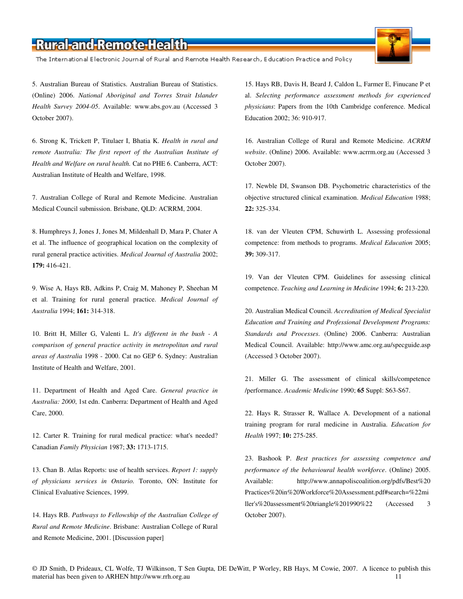The International Electronic Journal of Rural and Remote Health Research, Education Practice and Policy

5. Australian Bureau of Statistics. Australian Bureau of Statistics. (Online) 2006. *National Aboriginal and Torres Strait Islander Health Survey 2004-05*. Available: www.abs.gov.au (Accessed 3 October 2007).

6. Strong K, Trickett P, Titulaer I, Bhatia K. *Health in rural and remote Australia: The first report of the Australian Institute of Health and Welfare on rural health.* Cat no PHE 6. Canberra, ACT: Australian Institute of Health and Welfare, 1998.

7. Australian College of Rural and Remote Medicine. Australian Medical Council submission. Brisbane, QLD: ACRRM, 2004.

8. Humphreys J, Jones J, Jones M, Mildenhall D, Mara P, Chater A et al. The influence of geographical location on the complexity of rural general practice activities. *Medical Journal of Australia* 2002; **179:** 416-421.

9. Wise A, Hays RB, Adkins P, Craig M, Mahoney P, Sheehan M et al. Training for rural general practice. *Medical Journal of Australia* 1994; **161:** 314-318.

10. Britt H, Miller G, Valenti L. *It's different in the bush - A comparison of general practice activity in metropolitan and rural areas of Australia* 1998 - 2000. Cat no GEP 6. Sydney: Australian Institute of Health and Welfare, 2001.

11. Department of Health and Aged Care. *General practice in Australia: 2000*, 1st edn. Canberra: Department of Health and Aged Care, 2000.

12. Carter R. Training for rural medical practice: what's needed? Canadian *Family Physician* 1987; **33:** 1713-1715.

13. Chan B. Atlas Reports: use of health services. *Report 1: supply of physicians services in Ontario.* Toronto, ON: Institute for Clinical Evaluative Sciences, 1999.

14. Hays RB. *Pathways to Fellowship of the Australian College of Rural and Remote Medicine*. Brisbane: Australian College of Rural and Remote Medicine, 2001. [Discussion paper]

15. Hays RB, Davis H, Beard J, Caldon L, Farmer E, Finucane P et al. *Selecting performance assessment methods for experienced physicians*: Papers from the 10th Cambridge conference. Medical Education 2002; 36: 910-917.

16. Australian College of Rural and Remote Medicine. *ACRRM website*. (Online) 2006. Available: www.acrrm.org.au (Accessed 3 October 2007).

17. Newble DI, Swanson DB. Psychometric characteristics of the objective structured clinical examination. *Medical Education* 1988; **22:** 325-334.

18. van der Vleuten CPM, Schuwirth L. Assessing professional competence: from methods to programs. *Medical Education* 2005; **39:** 309-317.

19. Van der Vleuten CPM. Guidelines for assessing clinical competence. *Teaching and Learning in Medicine* 1994; **6:** 213-220.

20. Australian Medical Council. *Accreditation of Medical Specialist Education and Training and Professional Development Programs: Standards and Processes*. (Online) 2006. Canberra: Australian Medical Council. Available: http://www.amc.org.au/specguide.asp (Accessed 3 October 2007).

21. Miller G. The assessment of clinical skills/competence /performance. *Academic Medicine* 1990; **65** Suppl: S63-S67.

22. Hays R, Strasser R, Wallace A. Development of a national training program for rural medicine in Australia. *Education for Health* 1997; **10:** 275-285.

23. Bashook P. *Best practices for assessing competence and performance of the behavioural health workforce*. (Online) 2005. Available: http://www.annapoliscoalition.org/pdfs/Best%20 Practices%20in%20Workforce%20Assessment.pdf#search=%22mi ller's%20assessment%20triangle%201990%22 (Accessed 3 October 2007).